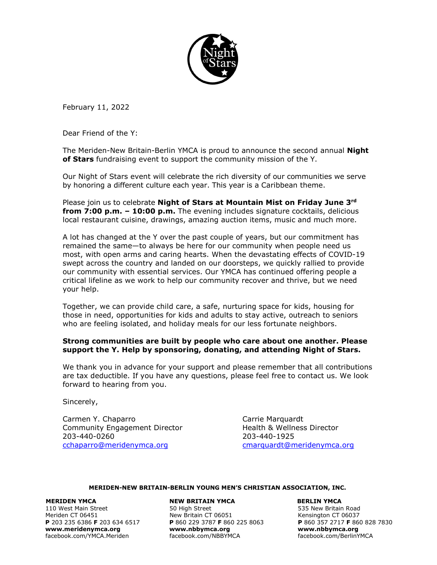

February 11, 2022

Dear Friend of the Y:

The Meriden-New Britain-Berlin YMCA is proud to announce the second annual **Night of Stars** fundraising event to support the community mission of the Y.

Our Night of Stars event will celebrate the rich diversity of our communities we serve by honoring a different culture each year. This year is a Caribbean theme.

Please join us to celebrate **Night of Stars at Mountain Mist on Friday June 3rd from 7:00 p.m. – 10:00 p.m.** The evening includes signature cocktails, delicious local restaurant cuisine, drawings, amazing auction items, music and much more.

A lot has changed at the Y over the past couple of years, but our commitment has remained the same—to always be here for our community when people need us most, with open arms and caring hearts. When the devastating effects of COVID-19 swept across the country and landed on our doorsteps, we quickly rallied to provide our community with essential services. Our YMCA has continued offering people a critical lifeline as we work to help our community recover and thrive, but we need your help.

Together, we can provide child care, a safe, nurturing space for kids, housing for those in need, opportunities for kids and adults to stay active, outreach to seniors who are feeling isolated, and holiday meals for our less fortunate neighbors.

# **Strong communities are built by people who care about one another. Please support the Y. Help by sponsoring, donating, and attending Night of Stars.**

We thank you in advance for your support and please remember that all contributions are tax deductible. If you have any questions, please feel free to contact us. We look forward to hearing from you.

Sincerely,

Carmen Y. Chaparro **Carmen Y. Chaparro Carrie Marquardt** Community Engagement Director **Health & Wellness Director** 203-440-0260 203-440-1925 [cchaparro@meridenymca.org](mailto:cchaparro@meridenymca.org) [cmarquardt@meridenymca.org](mailto:cmarquardt@meridenymca.org)

## **MERIDEN-NEW BRITAIN-BERLIN YOUNG MEN'S CHRISTIAN ASSOCIATION, INC.**

 **MERIDEN YMCA NEW BRITAIN YMCA BERLIN YMCA**  110 West Main Street 50 High Street 535 New Britain Road Meriden CT 06451 **New Britain CT 06051** Kensington CT 06037<br> **P** 203 235 6386 **F** 203 634 6517 **P** 860 229 3787 **F** 860 225 8063 **P** 860 357 2717 **F** 860 828 7830 **[www.meridenymca.org](http://www.meridenymca.org/) www[.nbbymca.org](http://www.meridenymca.org/) www.nbbymca.org** facebook.com/YMCA.Meriden

**P** 203 235 6386 **F** 203 634 6517 **P** 860 229 3787 **F** 860 225 8063 **P** 860 357 2717 **F** 860 828 7830